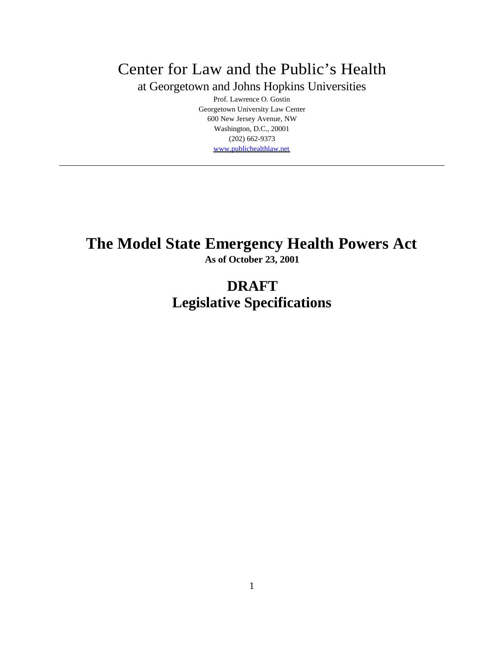Center for Law and the Public's Health

at Georgetown and Johns Hopkins Universities

Prof. Lawrence O. Gostin Georgetown University Law Center 600 New Jersey Avenue, NW Washington, D.C., 20001 (202) 662-9373 www.publichealthlaw.net

# **The Model State Emergency Health Powers Act**

**As of October 23, 2001**

## **DRAFT Legislative Specifications**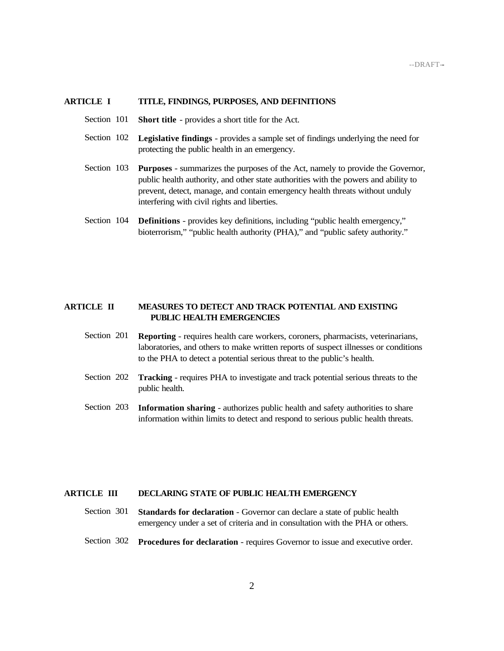#### **ARTICLE I TITLE, FINDINGS, PURPOSES, AND DEFINITIONS**

- Section 101 **Short title** provides a short title for the Act.
- Section 102 **Legislative findings**  provides a sample set of findings underlying the need for protecting the public health in an emergency.
- Section 103 **Purposes** summarizes the purposes of the Act, namely to provide the Governor, public health authority, and other state authorities with the powers and ability to prevent, detect, manage, and contain emergency health threats without unduly interfering with civil rights and liberties.
- Section 104 **Definitions** provides key definitions, including "public health emergency," bioterrorism," "public health authority (PHA)," and "public safety authority."

#### **ARTICLE II MEASURES TO DETECT AND TRACK POTENTIAL AND EXISTING PUBLIC HEALTH EMERGENCIES**

- Section 201 **Reporting** requires health care workers, coroners, pharmacists, veterinarians, laboratories, and others to make written reports of suspect illnesses or conditions to the PHA to detect a potential serious threat to the public's health.
- Section 202 **Tracking** requires PHA to investigate and track potential serious threats to the public health.
- Section 203 **Information sharing** authorizes public health and safety authorities to share information within limits to detect and respond to serious public health threats.

#### **ARTICLE III DECLARING STATE OF PUBLIC HEALTH EMERGENCY**

- Section 301 **Standards for declaration** Governor can declare a state of public health emergency under a set of criteria and in consultation with the PHA or others.
- Section 302 **Procedures for declaration** requires Governor to issue and executive order.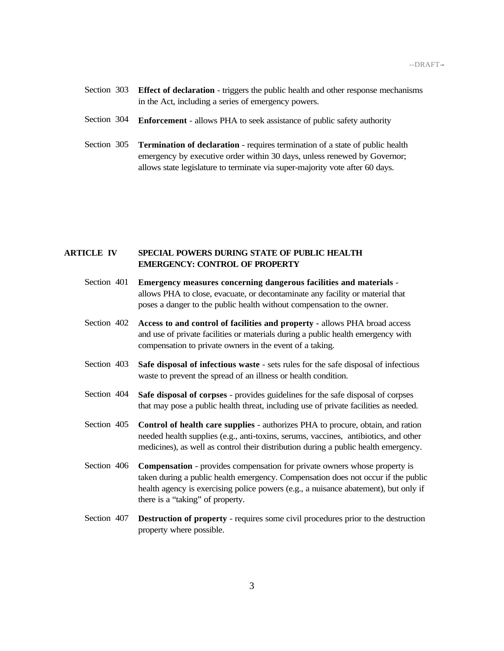- Section 303 **Effect of declaration** triggers the public health and other response mechanisms in the Act, including a series of emergency powers.
- Section 304 **Enforcement** allows PHA to seek assistance of public safety authority
- Section 305 **Termination of declaration** requires termination of a state of public health emergency by executive order within 30 days, unless renewed by Governor; allows state legislature to terminate via super-majority vote after 60 days.

### **ARTICLE IV SPECIAL POWERS DURING STATE OF PUBLIC HEALTH EMERGENCY: CONTROL OF PROPERTY**

- Section 401 **Emergency measures concerning dangerous facilities and materials** allows PHA to close, evacuate, or decontaminate any facility or material that poses a danger to the public health without compensation to the owner.
- Section 402 **Access to and control of facilities and property -** allows PHA broad access and use of private facilities or materials during a public health emergency with compensation to private owners in the event of a taking.
- Section 403 **Safe disposal of infectious waste** sets rules for the safe disposal of infectious waste to prevent the spread of an illness or health condition.
- Section 404 **Safe disposal of corpses** provides guidelines for the safe disposal of corpses that may pose a public health threat, including use of private facilities as needed.
- Section 405 **Control of health care supplies** authorizes PHA to procure, obtain, and ration needed health supplies (e.g., anti-toxins, serums, vaccines, antibiotics, and other medicines), as well as control their distribution during a public health emergency.
- Section 406 **Compensation** provides compensation for private owners whose property is taken during a public health emergency. Compensation does not occur if the public health agency is exercising police powers (e.g., a nuisance abatement), but only if there is a "taking" of property.
- Section 407 **Destruction of property** requires some civil procedures prior to the destruction property where possible.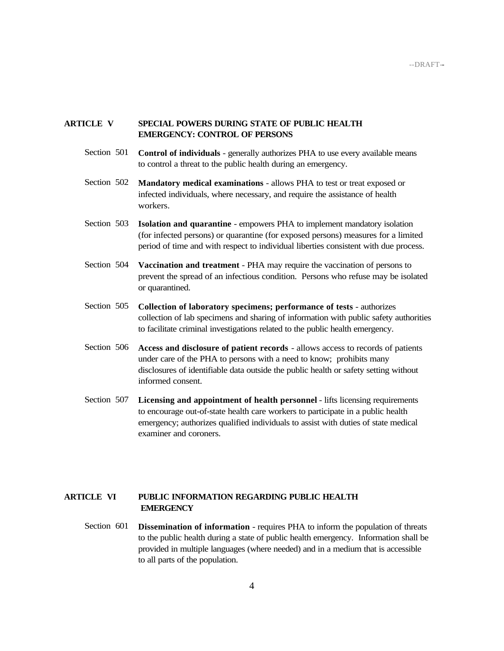#### **ARTICLE V SPECIAL POWERS DURING STATE OF PUBLIC HEALTH EMERGENCY: CONTROL OF PERSONS**

- Section 501 **Control of individuals** generally authorizes PHA to use every available means to control a threat to the public health during an emergency.
- Section 502 **Mandatory medical examinations** allows PHA to test or treat exposed or infected individuals, where necessary, and require the assistance of health workers.
- Section 503 **Isolation and quarantine**  empowers PHA to implement mandatory isolation (for infected persons) or quarantine (for exposed persons) measures for a limited period of time and with respect to individual liberties consistent with due process.
- Section 504 **Vaccination and treatment** PHA may require the vaccination of persons to prevent the spread of an infectious condition. Persons who refuse may be isolated or quarantined.
- Section 505 **Collection of laboratory specimens; performance of tests** authorizes collection of lab specimens and sharing of information with public safety authorities to facilitate criminal investigations related to the public health emergency.
- Section 506 **Access and disclosure of patient records** allows access to records of patients under care of the PHA to persons with a need to know; prohibits many disclosures of identifiable data outside the public health or safety setting without informed consent.
- Section 507 **Licensing and appointment of health personnel** lifts licensing requirements to encourage out-of-state health care workers to participate in a public health emergency; authorizes qualified individuals to assist with duties of state medical examiner and coroners.

#### **ARTICLE VI PUBLIC INFORMATION REGARDING PUBLIC HEALTH EMERGENCY**

Section 601 **Dissemination of information** - requires PHA to inform the population of threats to the public health during a state of public health emergency. Information shall be provided in multiple languages (where needed) and in a medium that is accessible to all parts of the population.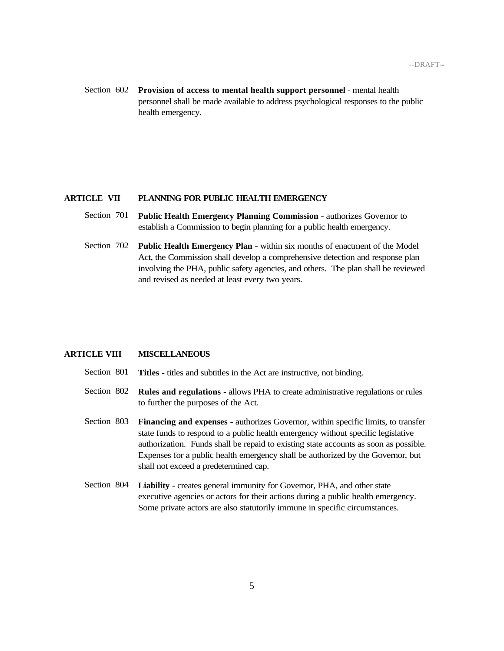Section 602 **Provision of access to mental health support personnel** - mental health personnel shall be made available to address psychological responses to the public health emergency.

#### **ARTICLE VII PLANNING FOR PUBLIC HEALTH EMERGENCY**

- Section 701 **Public Health Emergency Planning Commission** authorizes Governor to establish a Commission to begin planning for a public health emergency.
- Section 702 **Public Health Emergency Plan**  within six months of enactment of the Model Act, the Commission shall develop a comprehensive detection and response plan involving the PHA, public safety agencies, and others. The plan shall be reviewed and revised as needed at least every two years.

#### **ARTICLE VIII MISCELLANEOUS**

- Section 801 **Titles** titles and subtitles in the Act are instructive, not binding.
- Section 802 **Rules and regulations** allows PHA to create administrative regulations or rules to further the purposes of the Act.
- Section 803 **Financing and expenses** authorizes Governor, within specific limits, to transfer state funds to respond to a public health emergency without specific legislative authorization. Funds shall be repaid to existing state accounts as soon as possible. Expenses for a public health emergency shall be authorized by the Governor, but shall not exceed a predetermined cap.
- Section 804 **Liability** creates general immunity for Governor, PHA, and other state executive agencies or actors for their actions during a public health emergency. Some private actors are also statutorily immune in specific circumstances.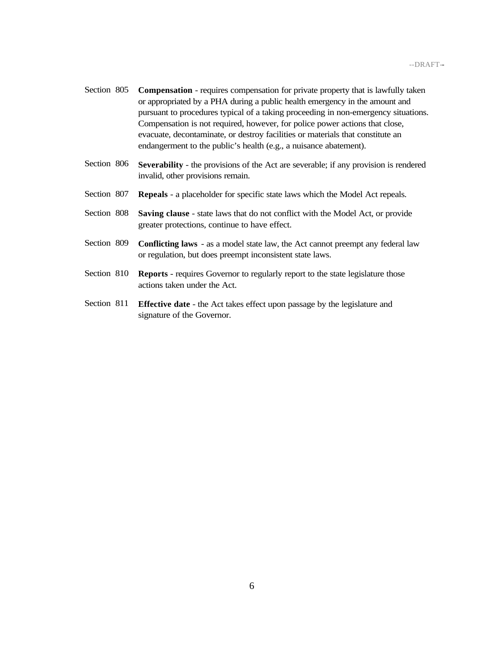- Section 805 **Compensation** requires compensation for private property that is lawfully taken or appropriated by a PHA during a public health emergency in the amount and pursuant to procedures typical of a taking proceeding in non-emergency situations. Compensation is not required, however, for police power actions that close, evacuate, decontaminate, or destroy facilities or materials that constitute an endangerment to the public's health (e.g., a nuisance abatement).
- Section 806 **Severability** the provisions of the Act are severable; if any provision is rendered invalid, other provisions remain.
- Section 807 **Repeals** a placeholder for specific state laws which the Model Act repeals.
- Section 808 **Saving clause** state laws that do not conflict with the Model Act, or provide greater protections, continue to have effect.
- Section 809 **Conflicting laws** as a model state law, the Act cannot preempt any federal law or regulation, but does preempt inconsistent state laws.
- Section 810 **Reports** requires Governor to regularly report to the state legislature those actions taken under the Act.
- Section 811 **Effective date** the Act takes effect upon passage by the legislature and signature of the Governor.